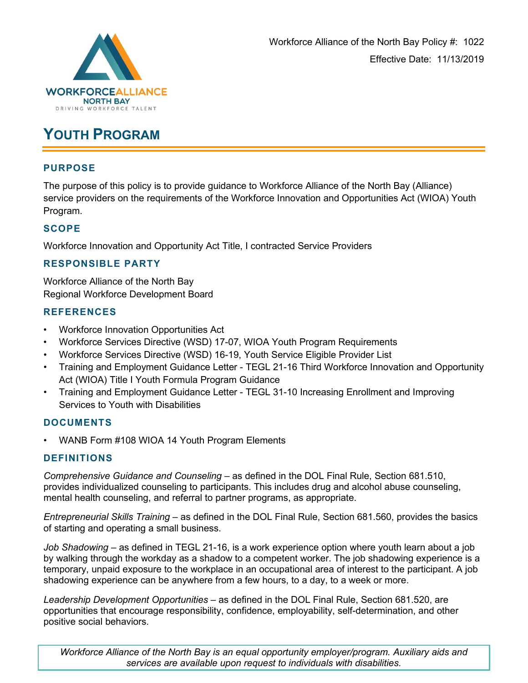

## **YOUTH PROGRAM**

## **PURPOSE**

The purpose of this policy is to provide guidance to Workforce Alliance of the North Bay (Alliance) service providers on the requirements of the Workforce Innovation and Opportunities Act (WIOA) Youth Program.

## **SCOPE**

Workforce Innovation and Opportunity Act Title, I contracted Service Providers

## **RESPONSIBLE PARTY**

Workforce Alliance of the North Bay Regional Workforce Development Board

#### **REFERENCES**

- Workforce Innovation Opportunities Act
- Workforce Services Directive (WSD) 17-07, WIOA Youth Program Requirements
- Workforce Services Directive (WSD) 16-19, Youth Service Eligible Provider List
- Training and Employment Guidance Letter TEGL 21-16 Third Workforce Innovation and Opportunity Act (WIOA) Title I Youth Formula Program Guidance
- Training and Employment Guidance Letter TEGL 31-10 Increasing Enrollment and Improving Services to Youth with Disabilities

#### **DOCUMENTS**

• WANB Form #108 WIOA 14 Youth Program Elements

#### **DEFINITIONS**

*Comprehensive Guidance and Counseling* – as defined in the DOL Final Rule, Section 681.510, provides individualized counseling to participants. This includes drug and alcohol abuse counseling, mental health counseling, and referral to partner programs, as appropriate.

*Entrepreneurial Skills Training* – as defined in the DOL Final Rule, Section 681.560, provides the basics of starting and operating a small business.

*Job Shadowing* – as defined in TEGL 21-16, is a work experience option where youth learn about a job by walking through the workday as a shadow to a competent worker. The job shadowing experience is a temporary, unpaid exposure to the workplace in an occupational area of interest to the participant. A job shadowing experience can be anywhere from a few hours, to a day, to a week or more.

*Leadership Development Opportunities* – as defined in the DOL Final Rule, Section 681.520, are opportunities that encourage responsibility, confidence, employability, self-determination, and other positive social behaviors.

*Workforce Alliance of the North Bay is an equal opportunity employer/program. Auxiliary aids and services are available upon request to individuals with disabilities.*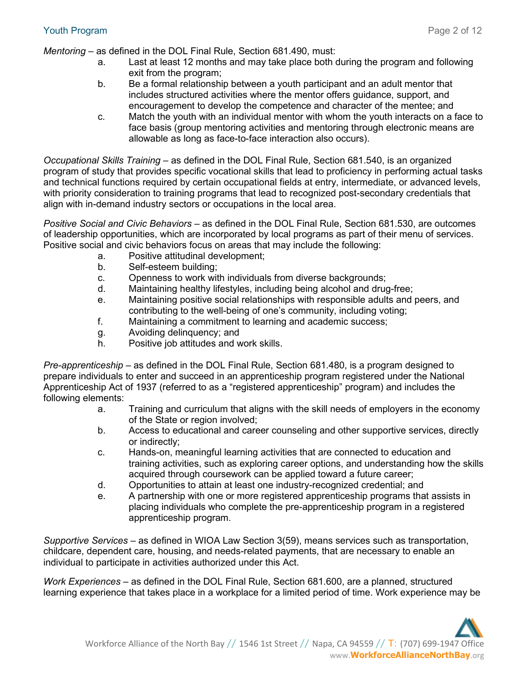*Mentoring* – as defined in the DOL Final Rule, Section 681.490, must:

- a. Last at least 12 months and may take place both during the program and following exit from the program;
- b. Be a formal relationship between a youth participant and an adult mentor that includes structured activities where the mentor offers guidance, support, and encouragement to develop the competence and character of the mentee; and
- c. Match the youth with an individual mentor with whom the youth interacts on a face to face basis (group mentoring activities and mentoring through electronic means are allowable as long as face-to-face interaction also occurs).

*Occupational Skills Training* – as defined in the DOL Final Rule, Section 681.540, is an organized program of study that provides specific vocational skills that lead to proficiency in performing actual tasks and technical functions required by certain occupational fields at entry, intermediate, or advanced levels, with priority consideration to training programs that lead to recognized post-secondary credentials that align with in-demand industry sectors or occupations in the local area.

*Positive Social and Civic Behaviors* – as defined in the DOL Final Rule, Section 681.530, are outcomes of leadership opportunities, which are incorporated by local programs as part of their menu of services. Positive social and civic behaviors focus on areas that may include the following:

- a. Positive attitudinal development;
- b. Self-esteem building;
- c. Openness to work with individuals from diverse backgrounds;
- d. Maintaining healthy lifestyles, including being alcohol and drug-free;
- e. Maintaining positive social relationships with responsible adults and peers, and contributing to the well-being of one's community, including voting;
- f. Maintaining a commitment to learning and academic success;
- g. Avoiding delinquency; and
- h. Positive job attitudes and work skills.

*Pre-apprenticeship* – as defined in the DOL Final Rule, Section 681.480, is a program designed to prepare individuals to enter and succeed in an apprenticeship program registered under the National Apprenticeship Act of 1937 (referred to as a "registered apprenticeship" program) and includes the following elements:

- a. Training and curriculum that aligns with the skill needs of employers in the economy of the State or region involved;
- b. Access to educational and career counseling and other supportive services, directly or indirectly;
- c. Hands-on, meaningful learning activities that are connected to education and training activities, such as exploring career options, and understanding how the skills acquired through coursework can be applied toward a future career;
- d. Opportunities to attain at least one industry-recognized credential; and
- e. A partnership with one or more registered apprenticeship programs that assists in placing individuals who complete the pre-apprenticeship program in a registered apprenticeship program.

*Supportive Services* – as defined in WIOA Law Section 3(59), means services such as transportation, childcare, dependent care, housing, and needs-related payments, that are necessary to enable an individual to participate in activities authorized under this Act.

*Work Experiences* – as defined in the DOL Final Rule, Section 681.600, are a planned, structured learning experience that takes place in a workplace for a limited period of time. Work experience may be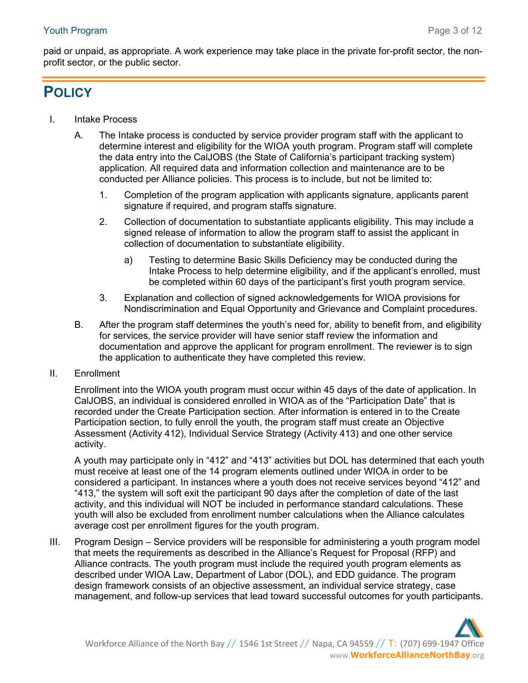paid or unpaid, as appropriate. A work experience may take place in the private for-profit sector, the nonprofit sector, or the public sector.

# **POLICY**

- I. Intake Process
	- A. The Intake process is conducted by service provider program staff with the applicant to determine interest and eligibility for the WIOA youth program. Program staff will complete the data entry into the CalJOBS (the State of California's participant tracking system) application. All required data and information collection and maintenance are to be conducted per Alliance policies. This process is to include, but not be limited to:
		- 1. Completion of the program application with applicants signature, applicants parent signature if required, and program staffs signature.
		- 2. Collection of documentation to substantiate applicants eligibility. This may include a signed release of information to allow the program staff to assist the applicant in collection of documentation to substantiate eligibility.
			- a) Testing to determine Basic Skills Deficiency may be conducted during the Intake Process to help determine eligibility, and if the applicant's enrolled, must be completed within 60 days of the participant's first youth program service.
		- 3. Explanation and collection of signed acknowledgements for WIOA provisions for Nondiscrimination and Equal Opportunity and Grievance and Complaint procedures.
	- B. After the program staff determines the youth's need for, ability to benefit from, and eligibility for services, the service provider will have senior staff review the information and documentation and approve the applicant for program enrollment. The reviewer is to sign the application to authenticate they have completed this review.
- II. Enrollment

Enrollment into the WIOA youth program must occur within 45 days of the date of application. In CalJOBS, an individual is considered enrolled in WIOA as of the "Participation Date" that is recorded under the Create Participation section. After information is entered in to the Create Participation section, to fully enroll the youth, the program staff must create an Objective Assessment (Activity 412), Individual Service Strategy (Activity 413) and one other service activity.

A youth may participate only in "412" and "413" activities but DOL has determined that each youth must receive at least one of the 14 program elements outlined under WIOA in order to be considered a participant. In instances where a youth does not receive services beyond "412" and "413," the system will soft exit the participant 90 days after the completion of date of the last activity, and this individual will NOT be included in performance standard calculations. These youth will also be excluded from enrollment number calculations when the Alliance calculates average cost per enrollment figures for the youth program.

III. Program Design – Service providers will be responsible for administering a youth program model that meets the requirements as described in the Alliance's Request for Proposal (RFP) and Alliance contracts. The youth program must include the required youth program elements as described under WIOA Law, Department of Labor (DOL), and EDD guidance. The program design framework consists of an objective assessment, an individual service strategy, case management, and follow-up services that lead toward successful outcomes for youth participants.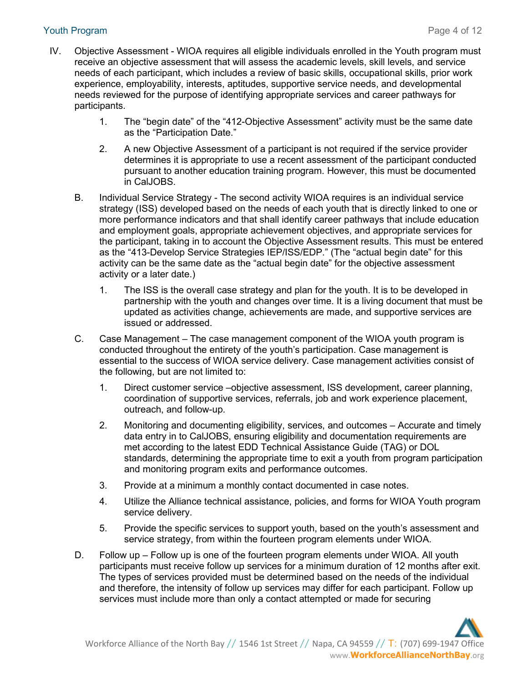#### Youth Program Page 4 of 12

- IV. Objective Assessment WIOA requires all eligible individuals enrolled in the Youth program must receive an objective assessment that will assess the academic levels, skill levels, and service needs of each participant, which includes a review of basic skills, occupational skills, prior work experience, employability, interests, aptitudes, supportive service needs, and developmental needs reviewed for the purpose of identifying appropriate services and career pathways for participants.
	- 1. The "begin date" of the "412-Objective Assessment" activity must be the same date as the "Participation Date."
	- 2. A new Objective Assessment of a participant is not required if the service provider determines it is appropriate to use a recent assessment of the participant conducted pursuant to another education training program. However, this must be documented in CalJOBS.
	- B. Individual Service Strategy The second activity WIOA requires is an individual service strategy (ISS) developed based on the needs of each youth that is directly linked to one or more performance indicators and that shall identify career pathways that include education and employment goals, appropriate achievement objectives, and appropriate services for the participant, taking in to account the Objective Assessment results. This must be entered as the "413-Develop Service Strategies IEP/ISS/EDP." (The "actual begin date" for this activity can be the same date as the "actual begin date" for the objective assessment activity or a later date.)
		- 1. The ISS is the overall case strategy and plan for the youth. It is to be developed in partnership with the youth and changes over time. It is a living document that must be updated as activities change, achievements are made, and supportive services are issued or addressed.
	- C. Case Management The case management component of the WIOA youth program is conducted throughout the entirety of the youth's participation. Case management is essential to the success of WIOA service delivery. Case management activities consist of the following, but are not limited to:
		- 1. Direct customer service –objective assessment, ISS development, career planning, coordination of supportive services, referrals, job and work experience placement, outreach, and follow-up.
		- 2. Monitoring and documenting eligibility, services, and outcomes Accurate and timely data entry in to CalJOBS, ensuring eligibility and documentation requirements are met according to the latest EDD Technical Assistance Guide (TAG) or DOL standards, determining the appropriate time to exit a youth from program participation and monitoring program exits and performance outcomes.
		- 3. Provide at a minimum a monthly contact documented in case notes.
		- 4. Utilize the Alliance technical assistance, policies, and forms for WIOA Youth program service delivery.
		- 5. Provide the specific services to support youth, based on the youth's assessment and service strategy, from within the fourteen program elements under WIOA.
	- D. Follow up Follow up is one of the fourteen program elements under WIOA. All youth participants must receive follow up services for a minimum duration of 12 months after exit. The types of services provided must be determined based on the needs of the individual and therefore, the intensity of follow up services may differ for each participant. Follow up services must include more than only a contact attempted or made for securing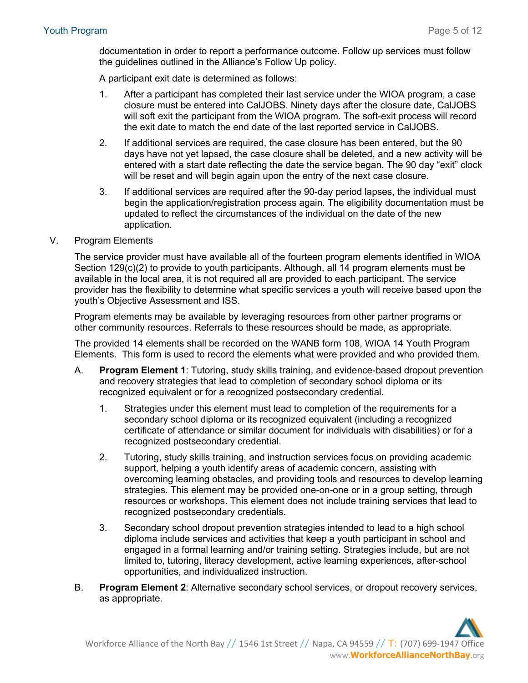documentation in order to report a performance outcome. Follow up services must follow the guidelines outlined in the Alliance's Follow Up policy.

A participant exit date is determined as follows:

- 1. After a participant has completed their last service under the WIOA program, a case closure must be entered into CalJOBS. Ninety days after the closure date, CalJOBS will soft exit the participant from the WIOA program. The soft-exit process will record the exit date to match the end date of the last reported service in CalJOBS.
- 2. If additional services are required, the case closure has been entered, but the 90 days have not yet lapsed, the case closure shall be deleted, and a new activity will be entered with a start date reflecting the date the service began. The 90 day "exit" clock will be reset and will begin again upon the entry of the next case closure.
- 3. If additional services are required after the 90-day period lapses, the individual must begin the application/registration process again. The eligibility documentation must be updated to reflect the circumstances of the individual on the date of the new application.
- V. Program Elements

The service provider must have available all of the fourteen program elements identified in WIOA Section 129(c)(2) to provide to youth participants. Although, all 14 program elements must be available in the local area, it is not required all are provided to each participant. The service provider has the flexibility to determine what specific services a youth will receive based upon the youth's Objective Assessment and ISS.

Program elements may be available by leveraging resources from other partner programs or other community resources. Referrals to these resources should be made, as appropriate.

The provided 14 elements shall be recorded on the WANB form 108, WIOA 14 Youth Program Elements. This form is used to record the elements what were provided and who provided them.

- A. **Program Element 1**: Tutoring, study skills training, and evidence-based dropout prevention and recovery strategies that lead to completion of secondary school diploma or its recognized equivalent or for a recognized postsecondary credential.
	- 1. Strategies under this element must lead to completion of the requirements for a secondary school diploma or its recognized equivalent (including a recognized certificate of attendance or similar document for individuals with disabilities) or for a recognized postsecondary credential.
	- 2. Tutoring, study skills training, and instruction services focus on providing academic support, helping a youth identify areas of academic concern, assisting with overcoming learning obstacles, and providing tools and resources to develop learning strategies. This element may be provided one-on-one or in a group setting, through resources or workshops. This element does not include training services that lead to recognized postsecondary credentials.
	- 3. Secondary school dropout prevention strategies intended to lead to a high school diploma include services and activities that keep a youth participant in school and engaged in a formal learning and/or training setting. Strategies include, but are not limited to, tutoring, literacy development, active learning experiences, after-school opportunities, and individualized instruction.
- B. **Program Element 2**: Alternative secondary school services, or dropout recovery services, as appropriate.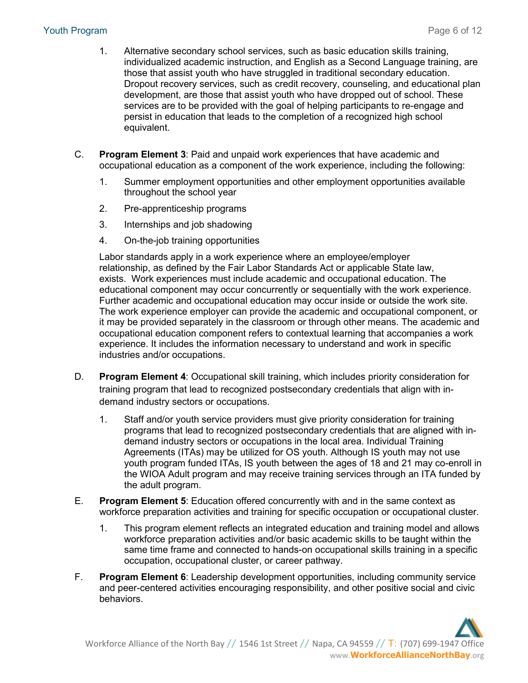- 1. Alternative secondary school services, such as basic education skills training, individualized academic instruction, and English as a Second Language training, are those that assist youth who have struggled in traditional secondary education. Dropout recovery services, such as credit recovery, counseling, and educational plan development, are those that assist youth who have dropped out of school. These services are to be provided with the goal of helping participants to re-engage and persist in education that leads to the completion of a recognized high school equivalent.
- C. **Program Element 3**: Paid and unpaid work experiences that have academic and occupational education as a component of the work experience, including the following:
	- 1. Summer employment opportunities and other employment opportunities available throughout the school year
	- 2. Pre-apprenticeship programs
	- 3. Internships and job shadowing
	- 4. On-the-job training opportunities

Labor standards apply in a work experience where an employee/employer relationship, as defined by the Fair Labor Standards Act or applicable State law, exists. Work experiences must include academic and occupational education. The educational component may occur concurrently or sequentially with the work experience. Further academic and occupational education may occur inside or outside the work site. The work experience employer can provide the academic and occupational component, or it may be provided separately in the classroom or through other means. The academic and occupational education component refers to contextual learning that accompanies a work experience. It includes the information necessary to understand and work in specific industries and/or occupations.

- D. **Program Element 4**: Occupational skill training, which includes priority consideration for training program that lead to recognized postsecondary credentials that align with indemand industry sectors or occupations.
	- 1. Staff and/or youth service providers must give priority consideration for training programs that lead to recognized postsecondary credentials that are aligned with indemand industry sectors or occupations in the local area. Individual Training Agreements (ITAs) may be utilized for OS youth. Although IS youth may not use youth program funded ITAs, IS youth between the ages of 18 and 21 may co-enroll in the WIOA Adult program and may receive training services through an ITA funded by the adult program.
- E. **Program Element 5**: Education offered concurrently with and in the same context as workforce preparation activities and training for specific occupation or occupational cluster.
	- 1. This program element reflects an integrated education and training model and allows workforce preparation activities and/or basic academic skills to be taught within the same time frame and connected to hands-on occupational skills training in a specific occupation, occupational cluster, or career pathway.
- F. **Program Element 6**: Leadership development opportunities, including community service and peer-centered activities encouraging responsibility, and other positive social and civic behaviors.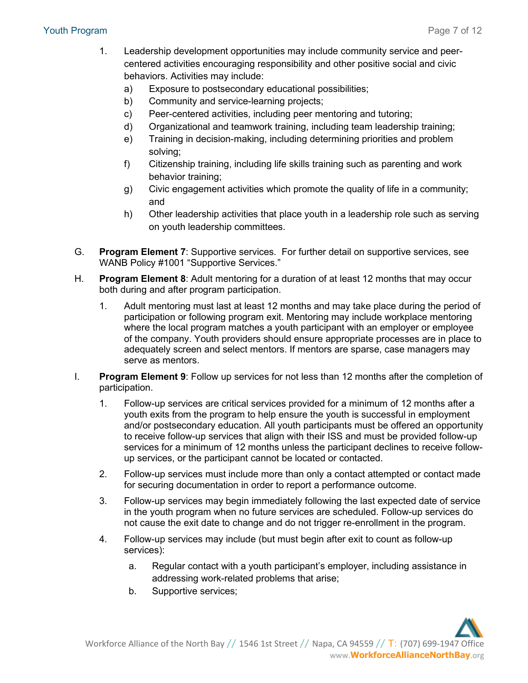- 1. Leadership development opportunities may include community service and peercentered activities encouraging responsibility and other positive social and civic behaviors. Activities may include:
	- a) Exposure to postsecondary educational possibilities;
	- b) Community and service-learning projects;
	- c) Peer-centered activities, including peer mentoring and tutoring;
	- d) Organizational and teamwork training, including team leadership training;
	- e) Training in decision-making, including determining priorities and problem solving;
	- f) Citizenship training, including life skills training such as parenting and work behavior training;
	- g) Civic engagement activities which promote the quality of life in a community; and
	- h) Other leadership activities that place youth in a leadership role such as serving on youth leadership committees.
- G. **Program Element 7**: Supportive services. For further detail on supportive services, see WANB Policy #1001 "Supportive Services."
- H. **Program Element 8**: Adult mentoring for a duration of at least 12 months that may occur both during and after program participation.
	- 1. Adult mentoring must last at least 12 months and may take place during the period of participation or following program exit. Mentoring may include workplace mentoring where the local program matches a youth participant with an employer or employee of the company. Youth providers should ensure appropriate processes are in place to adequately screen and select mentors. If mentors are sparse, case managers may serve as mentors.
- I. **Program Element 9**: Follow up services for not less than 12 months after the completion of participation.
	- 1. Follow-up services are critical services provided for a minimum of 12 months after a youth exits from the program to help ensure the youth is successful in employment and/or postsecondary education. All youth participants must be offered an opportunity to receive follow-up services that align with their ISS and must be provided follow-up services for a minimum of 12 months unless the participant declines to receive followup services, or the participant cannot be located or contacted.
	- 2. Follow-up services must include more than only a contact attempted or contact made for securing documentation in order to report a performance outcome.
	- 3. Follow-up services may begin immediately following the last expected date of service in the youth program when no future services are scheduled. Follow-up services do not cause the exit date to change and do not trigger re-enrollment in the program.
	- 4. Follow-up services may include (but must begin after exit to count as follow-up services):
		- a. Regular contact with a youth participant's employer, including assistance in addressing work-related problems that arise;
		- b. Supportive services;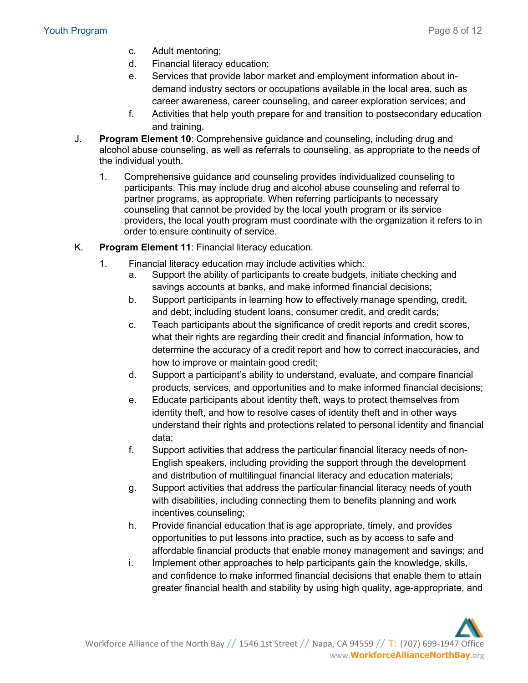- c. Adult mentoring;
- d. Financial literacy education;
- e. Services that provide labor market and employment information about indemand industry sectors or occupations available in the local area, such as career awareness, career counseling, and career exploration services; and
- f. Activities that help youth prepare for and transition to postsecondary education and training.
- J. **Program Element 10**: Comprehensive guidance and counseling, including drug and alcohol abuse counseling, as well as referrals to counseling, as appropriate to the needs of the individual youth.
	- 1. Comprehensive guidance and counseling provides individualized counseling to participants. This may include drug and alcohol abuse counseling and referral to partner programs, as appropriate. When referring participants to necessary counseling that cannot be provided by the local youth program or its service providers, the local youth program must coordinate with the organization it refers to in order to ensure continuity of service.
- K. **Program Element 11**: Financial literacy education.
	- 1. Financial literacy education may include activities which:
		- a. Support the ability of participants to create budgets, initiate checking and savings accounts at banks, and make informed financial decisions;
		- b. Support participants in learning how to effectively manage spending, credit, and debt; including student loans, consumer credit, and credit cards;
		- c. Teach participants about the significance of credit reports and credit scores, what their rights are regarding their credit and financial information, how to determine the accuracy of a credit report and how to correct inaccuracies, and how to improve or maintain good credit;
		- d. Support a participant's ability to understand, evaluate, and compare financial products, services, and opportunities and to make informed financial decisions;
		- e. Educate participants about identity theft, ways to protect themselves from identity theft, and how to resolve cases of identity theft and in other ways understand their rights and protections related to personal identity and financial data;
		- f. Support activities that address the particular financial literacy needs of non-English speakers, including providing the support through the development and distribution of multilingual financial literacy and education materials;
		- g. Support activities that address the particular financial literacy needs of youth with disabilities, including connecting them to benefits planning and work incentives counseling;
		- h. Provide financial education that is age appropriate, timely, and provides opportunities to put lessons into practice, such as by access to safe and affordable financial products that enable money management and savings; and
		- i. Implement other approaches to help participants gain the knowledge, skills, and confidence to make informed financial decisions that enable them to attain greater financial health and stability by using high quality, age-appropriate, and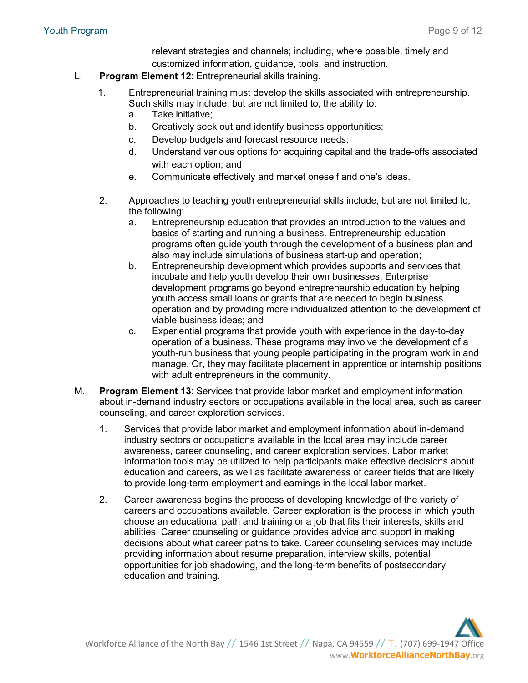relevant strategies and channels; including, where possible, timely and customized information, guidance, tools, and instruction.

- L. **Program Element 12**: Entrepreneurial skills training.
	- 1. Entrepreneurial training must develop the skills associated with entrepreneurship. Such skills may include, but are not limited to, the ability to:
		- a. Take initiative;
		- b. Creatively seek out and identify business opportunities;
		- c. Develop budgets and forecast resource needs;
		- d. Understand various options for acquiring capital and the trade-offs associated with each option; and
		- e. Communicate effectively and market oneself and one's ideas.
	- 2. Approaches to teaching youth entrepreneurial skills include, but are not limited to, the following:
		- a. Entrepreneurship education that provides an introduction to the values and basics of starting and running a business. Entrepreneurship education programs often guide youth through the development of a business plan and also may include simulations of business start-up and operation;
		- b. Entrepreneurship development which provides supports and services that incubate and help youth develop their own businesses. Enterprise development programs go beyond entrepreneurship education by helping youth access small loans or grants that are needed to begin business operation and by providing more individualized attention to the development of viable business ideas; and
		- c. Experiential programs that provide youth with experience in the day-to-day operation of a business. These programs may involve the development of a youth-run business that young people participating in the program work in and manage. Or, they may facilitate placement in apprentice or internship positions with adult entrepreneurs in the community.
- M. **Program Element 13**: Services that provide labor market and employment information about in-demand industry sectors or occupations available in the local area, such as career counseling, and career exploration services.
	- 1. Services that provide labor market and employment information about in-demand industry sectors or occupations available in the local area may include career awareness, career counseling, and career exploration services. Labor market information tools may be utilized to help participants make effective decisions about education and careers, as well as facilitate awareness of career fields that are likely to provide long-term employment and earnings in the local labor market.
	- 2. Career awareness begins the process of developing knowledge of the variety of careers and occupations available. Career exploration is the process in which youth choose an educational path and training or a job that fits their interests, skills and abilities. Career counseling or guidance provides advice and support in making decisions about what career paths to take. Career counseling services may include providing information about resume preparation, interview skills, potential opportunities for job shadowing, and the long-term benefits of postsecondary education and training.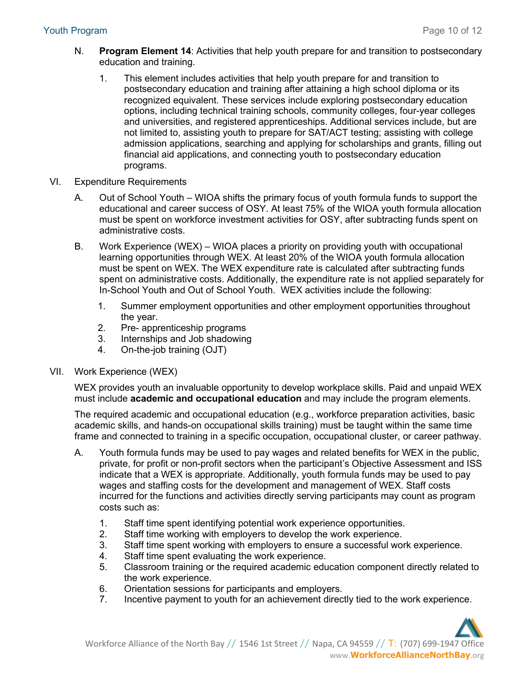- N. **Program Element 14**: Activities that help youth prepare for and transition to postsecondary education and training.
	- 1. This element includes activities that help youth prepare for and transition to postsecondary education and training after attaining a high school diploma or its recognized equivalent. These services include exploring postsecondary education options, including technical training schools, community colleges, four-year colleges and universities, and registered apprenticeships. Additional services include, but are not limited to, assisting youth to prepare for SAT/ACT testing; assisting with college admission applications, searching and applying for scholarships and grants, filling out financial aid applications, and connecting youth to postsecondary education programs.
- VI. Expenditure Requirements
	- A. Out of School Youth WIOA shifts the primary focus of youth formula funds to support the educational and career success of OSY. At least 75% of the WIOA youth formula allocation must be spent on workforce investment activities for OSY, after subtracting funds spent on administrative costs.
	- B. Work Experience (WEX) WIOA places a priority on providing youth with occupational learning opportunities through WEX. At least 20% of the WIOA youth formula allocation must be spent on WEX. The WEX expenditure rate is calculated after subtracting funds spent on administrative costs. Additionally, the expenditure rate is not applied separately for In-School Youth and Out of School Youth. WEX activities include the following:
		- 1. Summer employment opportunities and other employment opportunities throughout the year.
		- 2. Pre- apprenticeship programs
		- 3. Internships and Job shadowing
		- 4. On-the-job training (OJT)

#### VII. Work Experience (WEX)

WEX provides youth an invaluable opportunity to develop workplace skills. Paid and unpaid WEX must include **academic and occupational education** and may include the program elements.

The required academic and occupational education (e.g., workforce preparation activities, basic academic skills, and hands-on occupational skills training) must be taught within the same time frame and connected to training in a specific occupation, occupational cluster, or career pathway.

- A. Youth formula funds may be used to pay wages and related benefits for WEX in the public, private, for profit or non-profit sectors when the participant's Objective Assessment and ISS indicate that a WEX is appropriate. Additionally, youth formula funds may be used to pay wages and staffing costs for the development and management of WEX. Staff costs incurred for the functions and activities directly serving participants may count as program costs such as:
	- 1. Staff time spent identifying potential work experience opportunities.
	- 2. Staff time working with employers to develop the work experience.
	- 3. Staff time spent working with employers to ensure a successful work experience.
	- 4. Staff time spent evaluating the work experience.
	- 5. Classroom training or the required academic education component directly related to the work experience.
	- 6. Orientation sessions for participants and employers.
	- 7. Incentive payment to youth for an achievement directly tied to the work experience.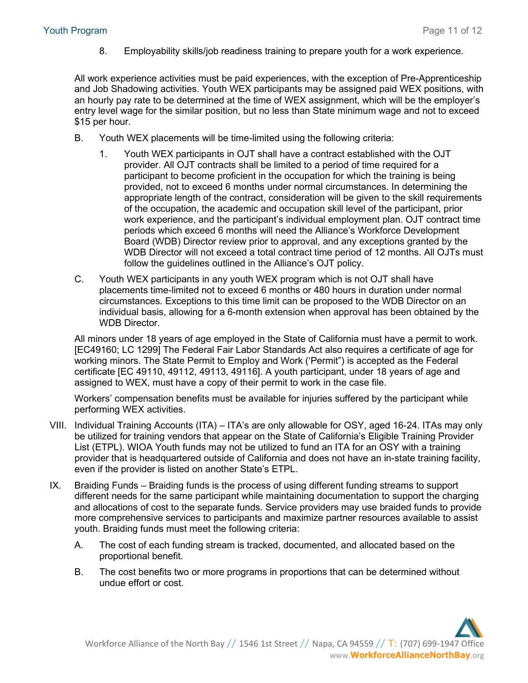8. Employability skills/job readiness training to prepare youth for a work experience.

All work experience activities must be paid experiences, with the exception of Pre-Apprenticeship and Job Shadowing activities. Youth WEX participants may be assigned paid WEX positions, with an hourly pay rate to be determined at the time of WEX assignment, which will be the employer's entry level wage for the similar position, but no less than State minimum wage and not to exceed \$15 per hour.

- B. Youth WEX placements will be time-limited using the following criteria:
	- 1. Youth WEX participants in OJT shall have a contract established with the OJT provider. All OJT contracts shall be limited to a period of time required for a participant to become proficient in the occupation for which the training is being provided, not to exceed 6 months under normal circumstances. In determining the appropriate length of the contract, consideration will be given to the skill requirements of the occupation, the academic and occupation skill level of the participant, prior work experience, and the participant's individual employment plan. OJT contract time periods which exceed 6 months will need the Alliance's Workforce Development Board (WDB) Director review prior to approval, and any exceptions granted by the WDB Director will not exceed a total contract time period of 12 months. All OJTs must follow the guidelines outlined in the Alliance's OJT policy.
- C. Youth WEX participants in any youth WEX program which is not OJT shall have placements time-limited not to exceed 6 months or 480 hours in duration under normal circumstances. Exceptions to this time limit can be proposed to the WDB Director on an individual basis, allowing for a 6-month extension when approval has been obtained by the WDB Director.

All minors under 18 years of age employed in the State of California must have a permit to work. [EC49160; LC 1299] The Federal Fair Labor Standards Act also requires a certificate of age for working minors. The State Permit to Employ and Work ('Permit") is accepted as the Federal certificate [EC 49110, 49112, 49113, 49116]. A youth participant, under 18 years of age and assigned to WEX, must have a copy of their permit to work in the case file.

Workers' compensation benefits must be available for injuries suffered by the participant while performing WEX activities.

- VIII. Individual Training Accounts (ITA) ITA's are only allowable for OSY, aged 16-24. ITAs may only be utilized for training vendors that appear on the State of California's Eligible Training Provider List (ETPL). WIOA Youth funds may not be utilized to fund an ITA for an OSY with a training provider that is headquartered outside of California and does not have an in-state training facility, even if the provider is listed on another State's ETPL.
- IX. Braiding Funds Braiding funds is the process of using different funding streams to support different needs for the same participant while maintaining documentation to support the charging and allocations of cost to the separate funds. Service providers may use braided funds to provide more comprehensive services to participants and maximize partner resources available to assist youth. Braiding funds must meet the following criteria:
	- A. The cost of each funding stream is tracked, documented, and allocated based on the proportional benefit.
	- B. The cost benefits two or more programs in proportions that can be determined without undue effort or cost.